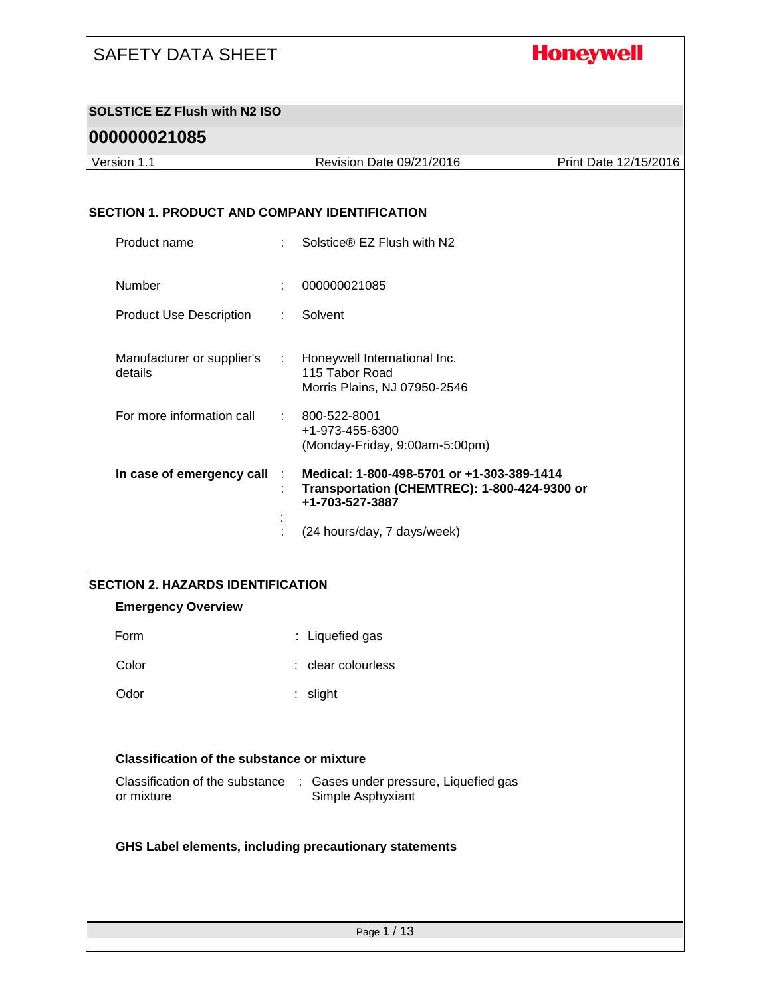## **Honeywell**

#### **SOLSTICE EZ Flush with N2 ISO**

| Version 1.1                                          |                             | Revision Date 09/21/2016                                              | Print Date 12/15/2016 |
|------------------------------------------------------|-----------------------------|-----------------------------------------------------------------------|-----------------------|
|                                                      |                             |                                                                       |                       |
| <b>SECTION 1. PRODUCT AND COMPANY IDENTIFICATION</b> |                             |                                                                       |                       |
| Product name                                         | ÷.                          | Solstice® EZ Flush with N2                                            |                       |
|                                                      |                             |                                                                       |                       |
| Number                                               |                             | 000000021085                                                          |                       |
| <b>Product Use Description</b>                       | ÷                           | Solvent                                                               |                       |
| Manufacturer or supplier's                           | $\mathcal{L}^{\mathcal{L}}$ | Honeywell International Inc.                                          |                       |
| details                                              |                             | 115 Tabor Road<br>Morris Plains, NJ 07950-2546                        |                       |
| For more information call                            |                             | 800-522-8001                                                          |                       |
|                                                      |                             | +1-973-455-6300<br>(Monday-Friday, 9:00am-5:00pm)                     |                       |
| In case of emergency call                            |                             | Medical: 1-800-498-5701 or +1-303-389-1414                            |                       |
|                                                      |                             | Transportation (CHEMTREC): 1-800-424-9300 or<br>+1-703-527-3887       |                       |
|                                                      |                             | (24 hours/day, 7 days/week)                                           |                       |
|                                                      |                             |                                                                       |                       |
| <b>SECTION 2. HAZARDS IDENTIFICATION</b>             |                             |                                                                       |                       |
| <b>Emergency Overview</b>                            |                             |                                                                       |                       |
| Form                                                 |                             | : Liquefied gas                                                       |                       |
| Color                                                |                             | : clear colourless                                                    |                       |
| Odor                                                 |                             | slight                                                                |                       |
|                                                      |                             |                                                                       |                       |
| <b>Classification of the substance or mixture</b>    |                             |                                                                       |                       |
|                                                      |                             | Classification of the substance : Gases under pressure, Liquefied gas |                       |
| or mixture                                           |                             | Simple Asphyxiant                                                     |                       |
|                                                      |                             |                                                                       |                       |
|                                                      |                             | GHS Label elements, including precautionary statements                |                       |
|                                                      |                             |                                                                       |                       |
|                                                      |                             |                                                                       |                       |
|                                                      |                             | Page 1 / 13                                                           |                       |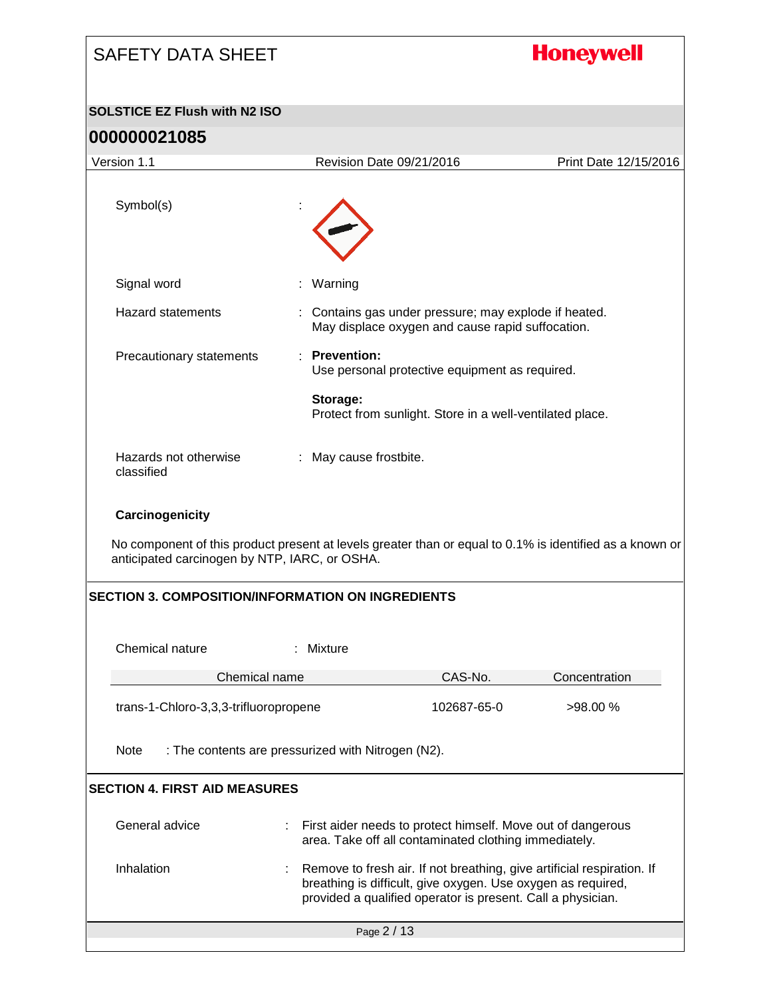# **Honeywell** SAFETY DATA SHEET **SOLSTICE EZ Flush with N2 ISO 000000021085** Version 1.1 Revision Date 09/21/2016 Print Date 12/15/2016 Symbol(s) Signal word : Warning Hazard statements : Contains gas under pressure; may explode if heated. May displace oxygen and cause rapid suffocation. Precautionary statements : **Prevention:**  Use personal protective equipment as required. **Storage:**  Protect from sunlight. Store in a well-ventilated place. Hazards not otherwise : May cause frostbite. classified **Carcinogenicity** No component of this product present at levels greater than or equal to 0.1% is identified as a known or anticipated carcinogen by NTP, IARC, or OSHA. **SECTION 3. COMPOSITION/INFORMATION ON INGREDIENTS** Chemical nature : Mixture Chemical name CAS-No. Concentration trans-1-Chloro-3,3,3-trifluoropropene 102687-65-0 >98.00 % Note : The contents are pressurized with Nitrogen (N2). **SECTION 4. FIRST AID MEASURES** General advice **interpretent in the Senarch Seneral advice**  $\cdot$  in First aider needs to protect himself. Move out of dangerous area. Take off all contaminated clothing immediately. Inhalation : Remove to fresh air. If not breathing, give artificial respiration. If breathing is difficult, give oxygen. Use oxygen as required, provided a qualified operator is present. Call a physician.Page 2 / 13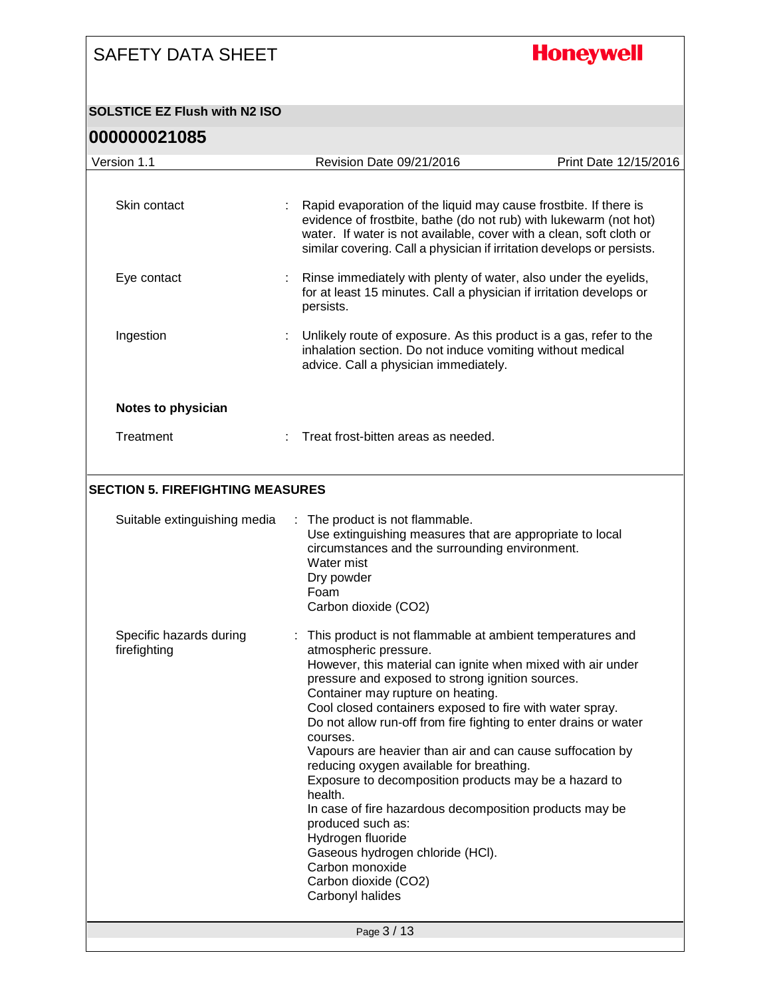# **Honeywell**

#### **SOLSTICE EZ Flush with N2 ISO**

| 000000021085                            |                                                                                                                                                                                                                                                                                                                                                                                                                                                                                                                                                                                                                                                                                                                                                                               |                       |
|-----------------------------------------|-------------------------------------------------------------------------------------------------------------------------------------------------------------------------------------------------------------------------------------------------------------------------------------------------------------------------------------------------------------------------------------------------------------------------------------------------------------------------------------------------------------------------------------------------------------------------------------------------------------------------------------------------------------------------------------------------------------------------------------------------------------------------------|-----------------------|
| Version 1.1                             | Revision Date 09/21/2016                                                                                                                                                                                                                                                                                                                                                                                                                                                                                                                                                                                                                                                                                                                                                      | Print Date 12/15/2016 |
| Skin contact                            | : Rapid evaporation of the liquid may cause frostbite. If there is<br>evidence of frostbite, bathe (do not rub) with lukewarm (not hot)<br>water. If water is not available, cover with a clean, soft cloth or<br>similar covering. Call a physician if irritation develops or persists.                                                                                                                                                                                                                                                                                                                                                                                                                                                                                      |                       |
| Eye contact                             | Rinse immediately with plenty of water, also under the eyelids,<br>for at least 15 minutes. Call a physician if irritation develops or<br>persists.                                                                                                                                                                                                                                                                                                                                                                                                                                                                                                                                                                                                                           |                       |
| Ingestion                               | Unlikely route of exposure. As this product is a gas, refer to the<br>inhalation section. Do not induce vomiting without medical<br>advice. Call a physician immediately.                                                                                                                                                                                                                                                                                                                                                                                                                                                                                                                                                                                                     |                       |
| Notes to physician                      |                                                                                                                                                                                                                                                                                                                                                                                                                                                                                                                                                                                                                                                                                                                                                                               |                       |
| Treatment                               | : Treat frost-bitten areas as needed.                                                                                                                                                                                                                                                                                                                                                                                                                                                                                                                                                                                                                                                                                                                                         |                       |
| <b>SECTION 5. FIREFIGHTING MEASURES</b> |                                                                                                                                                                                                                                                                                                                                                                                                                                                                                                                                                                                                                                                                                                                                                                               |                       |
| Suitable extinguishing media            | : The product is not flammable.<br>Use extinguishing measures that are appropriate to local<br>circumstances and the surrounding environment.<br>Water mist<br>Dry powder<br>Foam<br>Carbon dioxide (CO2)                                                                                                                                                                                                                                                                                                                                                                                                                                                                                                                                                                     |                       |
| Specific hazards during<br>firefighting | : This product is not flammable at ambient temperatures and<br>atmospheric pressure.<br>However, this material can ignite when mixed with air under<br>pressure and exposed to strong ignition sources.<br>Container may rupture on heating.<br>Cool closed containers exposed to fire with water spray.<br>Do not allow run-off from fire fighting to enter drains or water<br>courses.<br>Vapours are heavier than air and can cause suffocation by<br>reducing oxygen available for breathing.<br>Exposure to decomposition products may be a hazard to<br>health.<br>In case of fire hazardous decomposition products may be<br>produced such as:<br>Hydrogen fluoride<br>Gaseous hydrogen chloride (HCI).<br>Carbon monoxide<br>Carbon dioxide (CO2)<br>Carbonyl halides |                       |
|                                         | Page 3 / 13                                                                                                                                                                                                                                                                                                                                                                                                                                                                                                                                                                                                                                                                                                                                                                   |                       |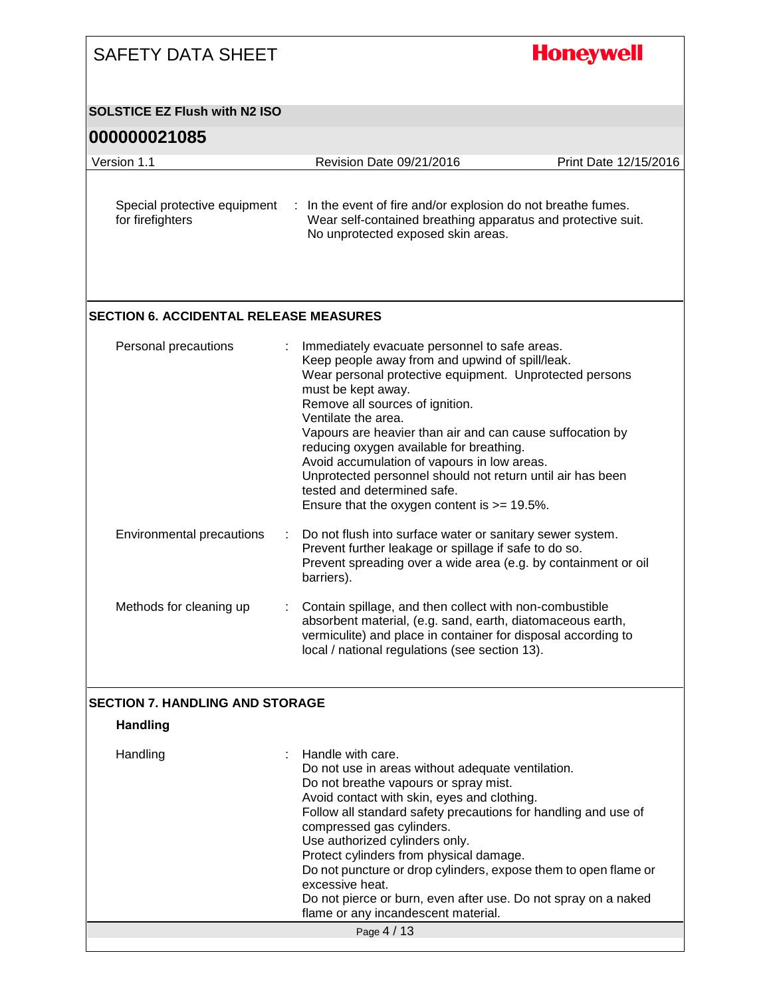| <b>SOLSTICE EZ Flush with N2 ISO</b>                                                                                                                                                                                                                                                                                                                                                                                                                                                                                                                |                                                       |
|-----------------------------------------------------------------------------------------------------------------------------------------------------------------------------------------------------------------------------------------------------------------------------------------------------------------------------------------------------------------------------------------------------------------------------------------------------------------------------------------------------------------------------------------------------|-------------------------------------------------------|
|                                                                                                                                                                                                                                                                                                                                                                                                                                                                                                                                                     |                                                       |
| Revision Date 09/21/2016                                                                                                                                                                                                                                                                                                                                                                                                                                                                                                                            | Print Date 12/15/2016                                 |
| : In the event of fire and/or explosion do not breathe fumes.<br>Wear self-contained breathing apparatus and protective suit.<br>No unprotected exposed skin areas.                                                                                                                                                                                                                                                                                                                                                                                 |                                                       |
| <b>SECTION 6. ACCIDENTAL RELEASE MEASURES</b>                                                                                                                                                                                                                                                                                                                                                                                                                                                                                                       |                                                       |
| Immediately evacuate personnel to safe areas.<br>Keep people away from and upwind of spill/leak.<br>Wear personal protective equipment. Unprotected persons<br>must be kept away.<br>Remove all sources of ignition.<br>Ventilate the area.<br>Vapours are heavier than air and can cause suffocation by<br>reducing oxygen available for breathing.<br>Avoid accumulation of vapours in low areas.<br>Unprotected personnel should not return until air has been<br>tested and determined safe.<br>Ensure that the oxygen content is $>= 19.5\%$ . |                                                       |
| Do not flush into surface water or sanitary sewer system.<br>÷<br>Prevent further leakage or spillage if safe to do so.<br>Prevent spreading over a wide area (e.g. by containment or oil<br>barriers).                                                                                                                                                                                                                                                                                                                                             |                                                       |
| Contain spillage, and then collect with non-combustible<br>absorbent material, (e.g. sand, earth, diatomaceous earth,<br>vermiculite) and place in container for disposal according to<br>local / national regulations (see section 13).                                                                                                                                                                                                                                                                                                            |                                                       |
|                                                                                                                                                                                                                                                                                                                                                                                                                                                                                                                                                     |                                                       |
|                                                                                                                                                                                                                                                                                                                                                                                                                                                                                                                                                     |                                                       |
| Handle with care.<br>Do not use in areas without adequate ventilation.<br>Do not breathe vapours or spray mist.<br>Avoid contact with skin, eyes and clothing.<br>Follow all standard safety precautions for handling and use of<br>compressed gas cylinders.<br>Use authorized cylinders only.<br>Protect cylinders from physical damage.<br>Do not puncture or drop cylinders, expose them to open flame or<br>excessive heat.<br>Do not pierce or burn, even after use. Do not spray on a naked<br>flame or any incandescent material.           |                                                       |
|                                                                                                                                                                                                                                                                                                                                                                                                                                                                                                                                                     | <b>SECTION 7. HANDLING AND STORAGE</b><br>Page 4 / 13 |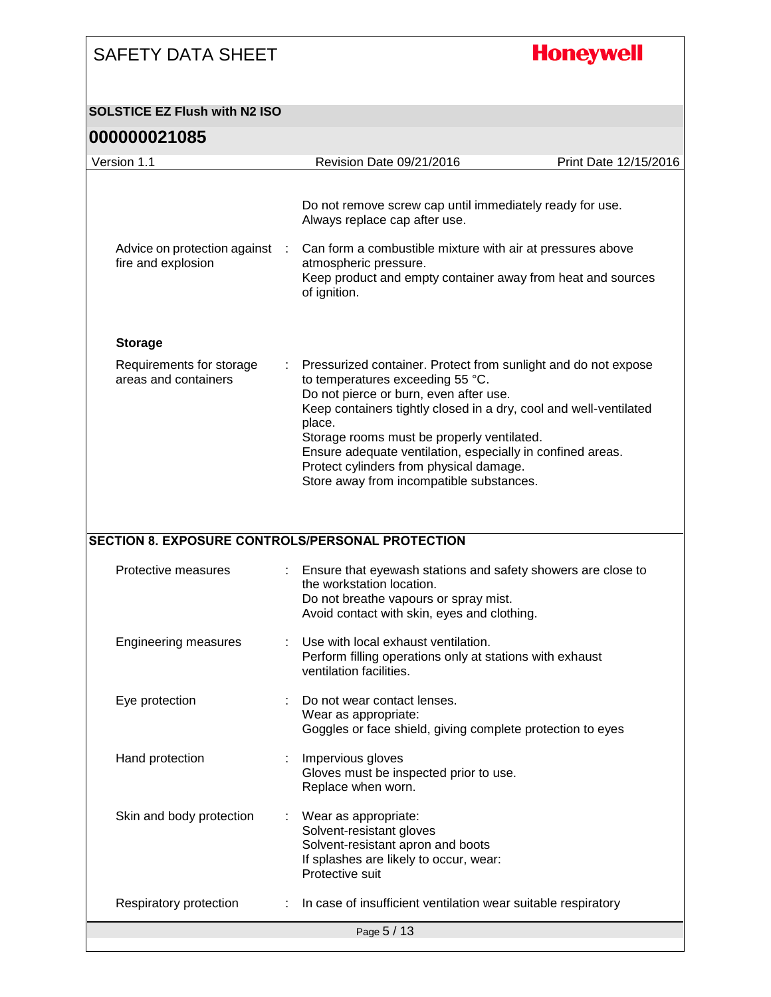# **Honeywell**

#### **SOLSTICE EZ Flush with N2 ISO**

| Revision Date 09/21/2016<br>Print Date 12/15/2016<br>Do not remove screw cap until immediately ready for use.<br>Always replace cap after use.<br>Advice on protection against :<br>Can form a combustible mixture with air at pressures above<br>fire and explosion<br>atmospheric pressure.<br>Keep product and empty container away from heat and sources<br>of ignition.<br><b>Storage</b><br>Requirements for storage<br>Pressurized container. Protect from sunlight and do not expose<br>areas and containers<br>to temperatures exceeding 55 °C.<br>Do not pierce or burn, even after use.<br>Keep containers tightly closed in a dry, cool and well-ventilated<br>place.<br>Storage rooms must be properly ventilated.<br>Ensure adequate ventilation, especially in confined areas.<br>Protect cylinders from physical damage.<br>Store away from incompatible substances.<br><b>SECTION 8. EXPOSURE CONTROLS/PERSONAL PROTECTION</b><br>Protective measures<br>Ensure that eyewash stations and safety showers are close to<br>the workstation location.<br>Do not breathe vapours or spray mist.<br>Avoid contact with skin, eyes and clothing.<br>Use with local exhaust ventilation.<br><b>Engineering measures</b><br>Perform filling operations only at stations with exhaust<br>ventilation facilities.<br>Eye protection<br>Do not wear contact lenses.<br>Wear as appropriate:<br>Goggles or face shield, giving complete protection to eyes<br>Hand protection<br>Impervious gloves<br>Gloves must be inspected prior to use.<br>Replace when worn.<br>Skin and body protection<br>Wear as appropriate:<br>Solvent-resistant gloves<br>Solvent-resistant apron and boots<br>If splashes are likely to occur, wear:<br>Protective suit<br>In case of insufficient ventilation wear suitable respiratory<br>Respiratory protection<br>Page 5 / 13 |             |  |  |
|---------------------------------------------------------------------------------------------------------------------------------------------------------------------------------------------------------------------------------------------------------------------------------------------------------------------------------------------------------------------------------------------------------------------------------------------------------------------------------------------------------------------------------------------------------------------------------------------------------------------------------------------------------------------------------------------------------------------------------------------------------------------------------------------------------------------------------------------------------------------------------------------------------------------------------------------------------------------------------------------------------------------------------------------------------------------------------------------------------------------------------------------------------------------------------------------------------------------------------------------------------------------------------------------------------------------------------------------------------------------------------------------------------------------------------------------------------------------------------------------------------------------------------------------------------------------------------------------------------------------------------------------------------------------------------------------------------------------------------------------------------------------------------------------------------------------------------------------------------------------|-------------|--|--|
|                                                                                                                                                                                                                                                                                                                                                                                                                                                                                                                                                                                                                                                                                                                                                                                                                                                                                                                                                                                                                                                                                                                                                                                                                                                                                                                                                                                                                                                                                                                                                                                                                                                                                                                                                                                                                                                                     | Version 1.1 |  |  |
|                                                                                                                                                                                                                                                                                                                                                                                                                                                                                                                                                                                                                                                                                                                                                                                                                                                                                                                                                                                                                                                                                                                                                                                                                                                                                                                                                                                                                                                                                                                                                                                                                                                                                                                                                                                                                                                                     |             |  |  |
|                                                                                                                                                                                                                                                                                                                                                                                                                                                                                                                                                                                                                                                                                                                                                                                                                                                                                                                                                                                                                                                                                                                                                                                                                                                                                                                                                                                                                                                                                                                                                                                                                                                                                                                                                                                                                                                                     |             |  |  |
|                                                                                                                                                                                                                                                                                                                                                                                                                                                                                                                                                                                                                                                                                                                                                                                                                                                                                                                                                                                                                                                                                                                                                                                                                                                                                                                                                                                                                                                                                                                                                                                                                                                                                                                                                                                                                                                                     |             |  |  |
|                                                                                                                                                                                                                                                                                                                                                                                                                                                                                                                                                                                                                                                                                                                                                                                                                                                                                                                                                                                                                                                                                                                                                                                                                                                                                                                                                                                                                                                                                                                                                                                                                                                                                                                                                                                                                                                                     |             |  |  |
|                                                                                                                                                                                                                                                                                                                                                                                                                                                                                                                                                                                                                                                                                                                                                                                                                                                                                                                                                                                                                                                                                                                                                                                                                                                                                                                                                                                                                                                                                                                                                                                                                                                                                                                                                                                                                                                                     |             |  |  |
|                                                                                                                                                                                                                                                                                                                                                                                                                                                                                                                                                                                                                                                                                                                                                                                                                                                                                                                                                                                                                                                                                                                                                                                                                                                                                                                                                                                                                                                                                                                                                                                                                                                                                                                                                                                                                                                                     |             |  |  |
|                                                                                                                                                                                                                                                                                                                                                                                                                                                                                                                                                                                                                                                                                                                                                                                                                                                                                                                                                                                                                                                                                                                                                                                                                                                                                                                                                                                                                                                                                                                                                                                                                                                                                                                                                                                                                                                                     |             |  |  |
|                                                                                                                                                                                                                                                                                                                                                                                                                                                                                                                                                                                                                                                                                                                                                                                                                                                                                                                                                                                                                                                                                                                                                                                                                                                                                                                                                                                                                                                                                                                                                                                                                                                                                                                                                                                                                                                                     |             |  |  |
|                                                                                                                                                                                                                                                                                                                                                                                                                                                                                                                                                                                                                                                                                                                                                                                                                                                                                                                                                                                                                                                                                                                                                                                                                                                                                                                                                                                                                                                                                                                                                                                                                                                                                                                                                                                                                                                                     |             |  |  |
|                                                                                                                                                                                                                                                                                                                                                                                                                                                                                                                                                                                                                                                                                                                                                                                                                                                                                                                                                                                                                                                                                                                                                                                                                                                                                                                                                                                                                                                                                                                                                                                                                                                                                                                                                                                                                                                                     |             |  |  |
|                                                                                                                                                                                                                                                                                                                                                                                                                                                                                                                                                                                                                                                                                                                                                                                                                                                                                                                                                                                                                                                                                                                                                                                                                                                                                                                                                                                                                                                                                                                                                                                                                                                                                                                                                                                                                                                                     |             |  |  |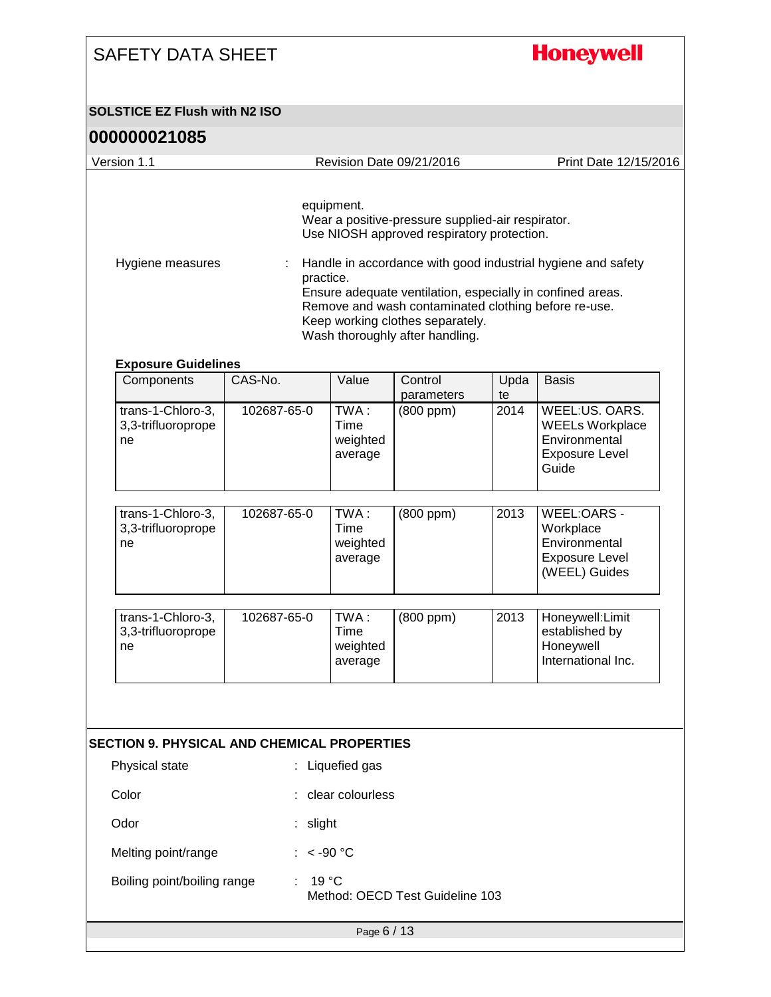## **Honeywell**

#### **SOLSTICE EZ Flush with N2 ISO**

| 000000021085                                       |                |                                     |                                                                                                                                                                                                                                                                                              |      |                                                                                             |
|----------------------------------------------------|----------------|-------------------------------------|----------------------------------------------------------------------------------------------------------------------------------------------------------------------------------------------------------------------------------------------------------------------------------------------|------|---------------------------------------------------------------------------------------------|
| Version 1.1                                        |                |                                     | Revision Date 09/21/2016                                                                                                                                                                                                                                                                     |      | Print Date 12/15/2016                                                                       |
| Hygiene measures                                   | ÷<br>practice. | equipment.                          | Wear a positive-pressure supplied-air respirator.<br>Use NIOSH approved respiratory protection.<br>Ensure adequate ventilation, especially in confined areas.<br>Remove and wash contaminated clothing before re-use.<br>Keep working clothes separately.<br>Wash thoroughly after handling. |      | Handle in accordance with good industrial hygiene and safety                                |
| <b>Exposure Guidelines</b><br>Components           | CAS-No.        | Value                               | Control                                                                                                                                                                                                                                                                                      | Upda | <b>Basis</b>                                                                                |
|                                                    |                |                                     | parameters                                                                                                                                                                                                                                                                                   | te   |                                                                                             |
| trans-1-Chloro-3,<br>3,3-trifluoroprope<br>ne      | 102687-65-0    | TWA:<br>Time<br>weighted<br>average | $(800$ ppm $)$                                                                                                                                                                                                                                                                               | 2014 | WEEL:US. OARS.<br><b>WEELs Workplace</b><br>Environmental<br><b>Exposure Level</b><br>Guide |
|                                                    |                |                                     |                                                                                                                                                                                                                                                                                              |      |                                                                                             |
| trans-1-Chloro-3,<br>3,3-trifluoroprope<br>ne      | 102687-65-0    | TWA:<br>Time<br>weighted<br>average | (800 ppm)                                                                                                                                                                                                                                                                                    | 2013 | WEEL:OARS -<br>Workplace<br>Environmental<br><b>Exposure Level</b><br>(WEEL) Guides         |
|                                                    |                |                                     |                                                                                                                                                                                                                                                                                              |      |                                                                                             |
| trans-1-Chloro-3,<br>3,3-trifluoroprope<br>ne      | 102687-65-0    | TWA:<br>Time<br>weighted<br>average | (800 ppm)                                                                                                                                                                                                                                                                                    | 2013 | Honeywell:Limit<br>established by<br>Honeywell<br>International Inc.                        |
| <b>SECTION 9. PHYSICAL AND CHEMICAL PROPERTIES</b> |                |                                     |                                                                                                                                                                                                                                                                                              |      |                                                                                             |
| Physical state                                     |                | : Liquefied gas                     |                                                                                                                                                                                                                                                                                              |      |                                                                                             |
| Color                                              |                | : clear colourless                  |                                                                                                                                                                                                                                                                                              |      |                                                                                             |
| Odor                                               | : slight       |                                     |                                                                                                                                                                                                                                                                                              |      |                                                                                             |
| Melting point/range                                | : $< -90$ °C   |                                     |                                                                                                                                                                                                                                                                                              |      |                                                                                             |
| Boiling point/boiling range                        | $19^{\circ}$ C |                                     | Method: OECD Test Guideline 103                                                                                                                                                                                                                                                              |      |                                                                                             |
|                                                    |                | Page 6 / 13                         |                                                                                                                                                                                                                                                                                              |      |                                                                                             |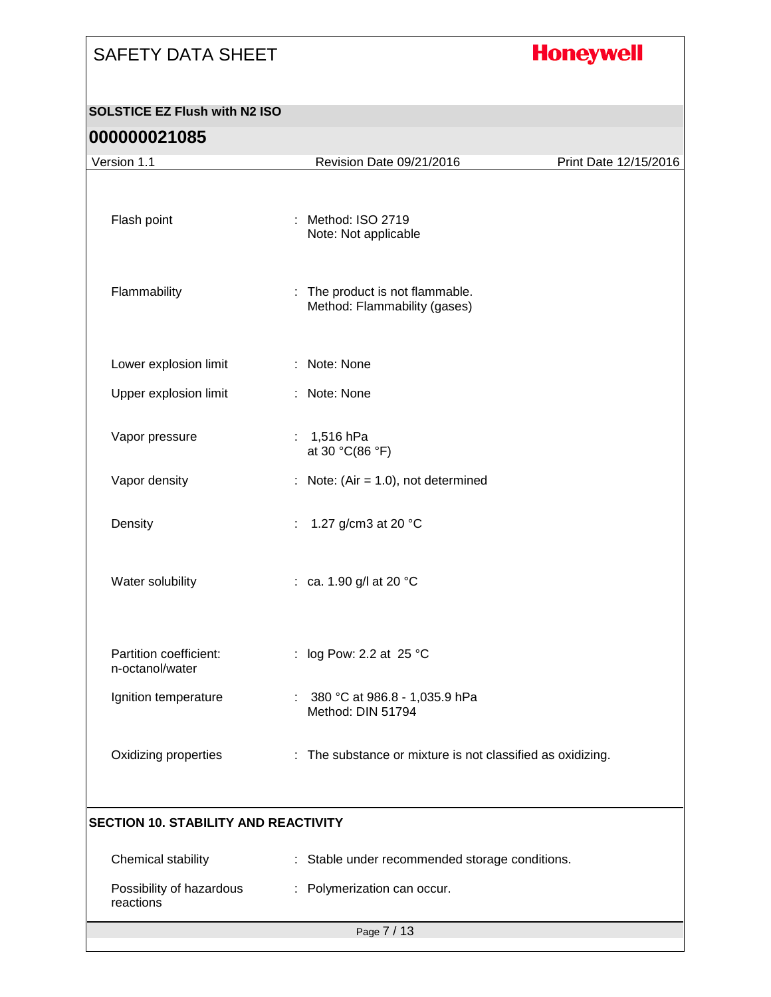# **Honeywell**

#### **SOLSTICE EZ Flush with N2 ISO**

| Version 1.1                                 | Revision Date 09/21/2016                                        | Print Date 12/15/2016 |
|---------------------------------------------|-----------------------------------------------------------------|-----------------------|
| Flash point                                 | : Method: ISO 2719<br>Note: Not applicable                      |                       |
| Flammability                                | : The product is not flammable.<br>Method: Flammability (gases) |                       |
| Lower explosion limit                       | : Note: None                                                    |                       |
| Upper explosion limit                       | : Note: None                                                    |                       |
| Vapor pressure                              | : $1,516$ hPa<br>at 30 °C(86 °F)                                |                       |
| Vapor density                               | : Note: $(Air = 1.0)$ , not determined                          |                       |
| Density                                     | 1.27 g/cm3 at 20 °C<br>÷.                                       |                       |
| Water solubility                            | : ca. 1.90 g/l at 20 °C                                         |                       |
| Partition coefficient:<br>n-octanol/water   | : log Pow: 2.2 at 25 °C                                         |                       |
| Ignition temperature                        | : $380 °C$ at 986.8 - 1,035.9 hPa<br>Method: DIN 51794          |                       |
| Oxidizing properties                        | : The substance or mixture is not classified as oxidizing.      |                       |
| <b>SECTION 10. STABILITY AND REACTIVITY</b> |                                                                 |                       |
| Chemical stability                          | : Stable under recommended storage conditions.                  |                       |
| Possibility of hazardous<br>reactions       | : Polymerization can occur.                                     |                       |
|                                             | Page 7 / 13                                                     |                       |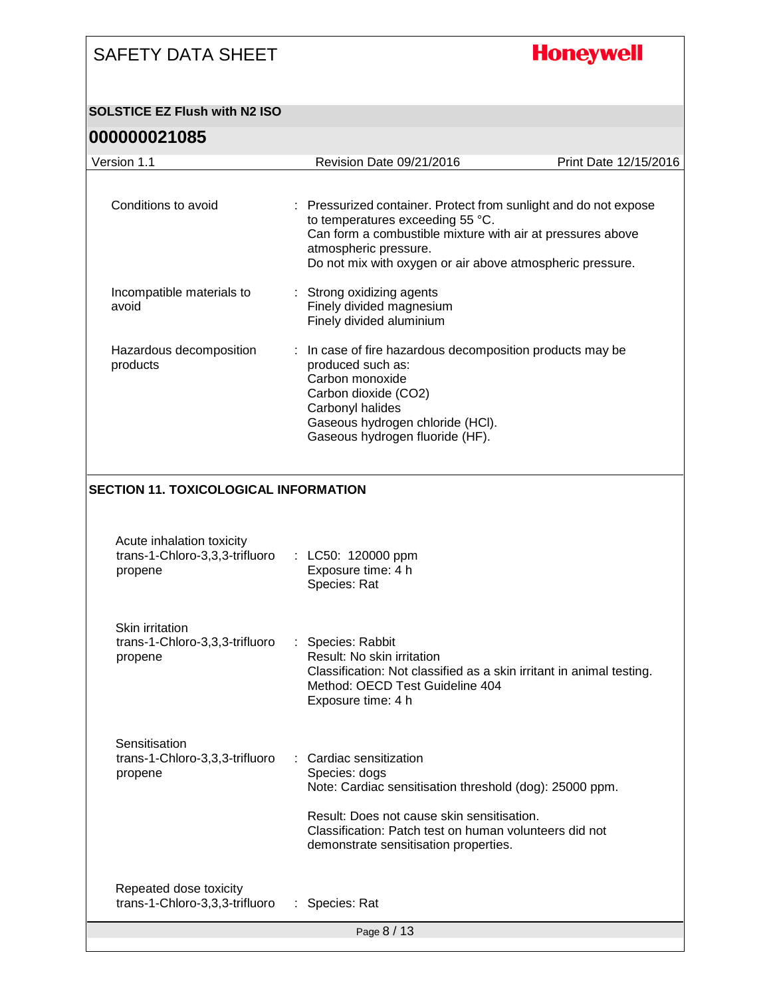# **Honeywell**

#### **SOLSTICE EZ Flush with N2 ISO**

| Version 1.1                                                            | Revision Date 09/21/2016                                                                                                                                                                                                                                 | Print Date 12/15/2016 |
|------------------------------------------------------------------------|----------------------------------------------------------------------------------------------------------------------------------------------------------------------------------------------------------------------------------------------------------|-----------------------|
|                                                                        |                                                                                                                                                                                                                                                          |                       |
| Conditions to avoid                                                    | : Pressurized container. Protect from sunlight and do not expose<br>to temperatures exceeding 55 °C.<br>Can form a combustible mixture with air at pressures above<br>atmospheric pressure.<br>Do not mix with oxygen or air above atmospheric pressure. |                       |
| Incompatible materials to<br>avoid                                     | : Strong oxidizing agents<br>Finely divided magnesium<br>Finely divided aluminium                                                                                                                                                                        |                       |
| Hazardous decomposition<br>products                                    | In case of fire hazardous decomposition products may be<br>÷<br>produced such as:<br>Carbon monoxide<br>Carbon dioxide (CO2)<br>Carbonyl halides<br>Gaseous hydrogen chloride (HCI).<br>Gaseous hydrogen fluoride (HF).                                  |                       |
| <b>SECTION 11. TOXICOLOGICAL INFORMATION</b>                           |                                                                                                                                                                                                                                                          |                       |
|                                                                        |                                                                                                                                                                                                                                                          |                       |
| Acute inhalation toxicity<br>trans-1-Chloro-3,3,3-trifluoro<br>propene | : LC50: 120000 ppm<br>Exposure time: 4 h<br>Species: Rat                                                                                                                                                                                                 |                       |
| Skin irritation<br>trans-1-Chloro-3,3,3-trifluoro<br>propene           | : Species: Rabbit<br>Result: No skin irritation<br>Classification: Not classified as a skin irritant in animal testing.<br>Method: OECD Test Guideline 404<br>Exposure time: 4 h                                                                         |                       |
| Sensitisation<br>trans-1-Chloro-3,3,3-trifluoro<br>propene             | Cardiac sensitization<br>Species: dogs<br>Note: Cardiac sensitisation threshold (dog): 25000 ppm.<br>Result: Does not cause skin sensitisation.<br>Classification: Patch test on human volunteers did not<br>demonstrate sensitisation properties.       |                       |
| Repeated dose toxicity<br>trans-1-Chloro-3,3,3-trifluoro               | : Species: Rat                                                                                                                                                                                                                                           |                       |
|                                                                        | Page 8 / 13                                                                                                                                                                                                                                              |                       |
|                                                                        |                                                                                                                                                                                                                                                          |                       |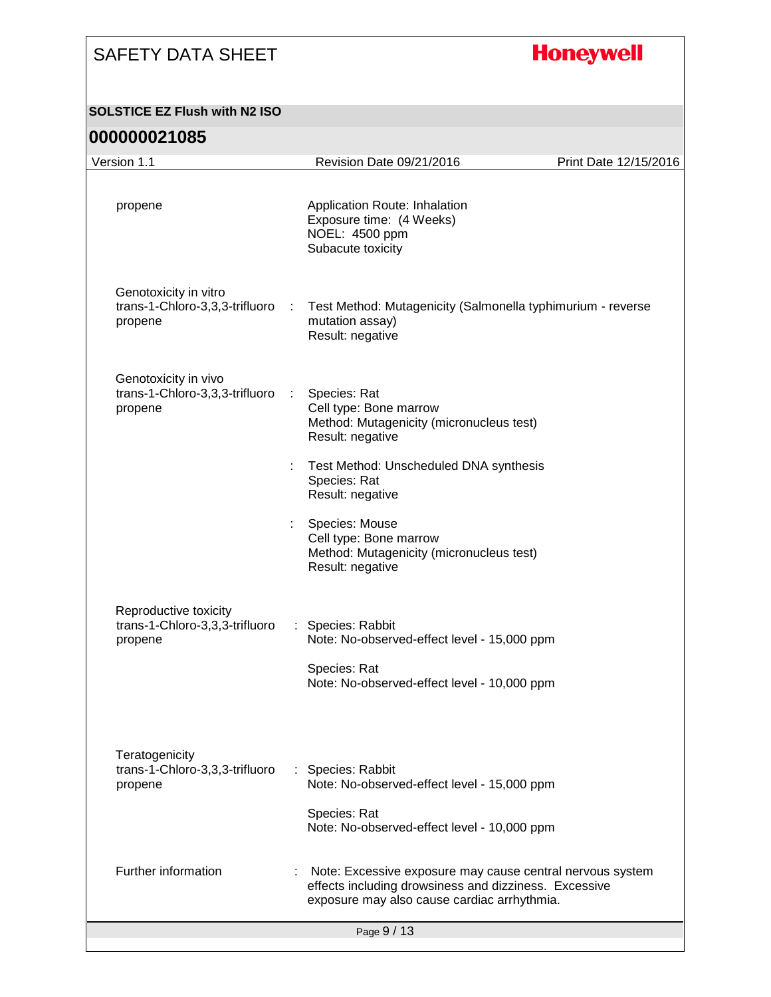# **Honeywell**

#### **SOLSTICE EZ Flush with N2 ISO**

| Version 1.1                                                        | Revision Date 09/21/2016                                                                                                                                          | Print Date 12/15/2016 |
|--------------------------------------------------------------------|-------------------------------------------------------------------------------------------------------------------------------------------------------------------|-----------------------|
| propene                                                            | Application Route: Inhalation<br>Exposure time: (4 Weeks)<br>NOEL: 4500 ppm<br>Subacute toxicity                                                                  |                       |
| Genotoxicity in vitro<br>trans-1-Chloro-3,3,3-trifluoro<br>propene | Test Method: Mutagenicity (Salmonella typhimurium - reverse<br>÷<br>mutation assay)<br>Result: negative                                                           |                       |
| Genotoxicity in vivo<br>trans-1-Chloro-3,3,3-trifluoro<br>propene  | Species: Rat<br>Cell type: Bone marrow<br>Method: Mutagenicity (micronucleus test)<br>Result: negative                                                            |                       |
|                                                                    | Test Method: Unscheduled DNA synthesis<br>t<br>Species: Rat<br>Result: negative                                                                                   |                       |
|                                                                    | Species: Mouse<br>Cell type: Bone marrow<br>Method: Mutagenicity (micronucleus test)<br>Result: negative                                                          |                       |
| Reproductive toxicity<br>trans-1-Chloro-3,3,3-trifluoro<br>propene | Species: Rabbit<br>÷<br>Note: No-observed-effect level - 15,000 ppm<br>Species: Rat<br>Note: No-observed-effect level - 10,000 ppm                                |                       |
| Teratogenicity<br>trans-1-Chloro-3,3,3-trifluoro<br>propene        | : Species: Rabbit<br>Note: No-observed-effect level - 15,000 ppm<br>Species: Rat<br>Note: No-observed-effect level - 10,000 ppm                                   |                       |
| Further information                                                | Note: Excessive exposure may cause central nervous system<br>effects including drowsiness and dizziness. Excessive<br>exposure may also cause cardiac arrhythmia. |                       |
|                                                                    | Page 9 / 13                                                                                                                                                       |                       |
|                                                                    |                                                                                                                                                                   |                       |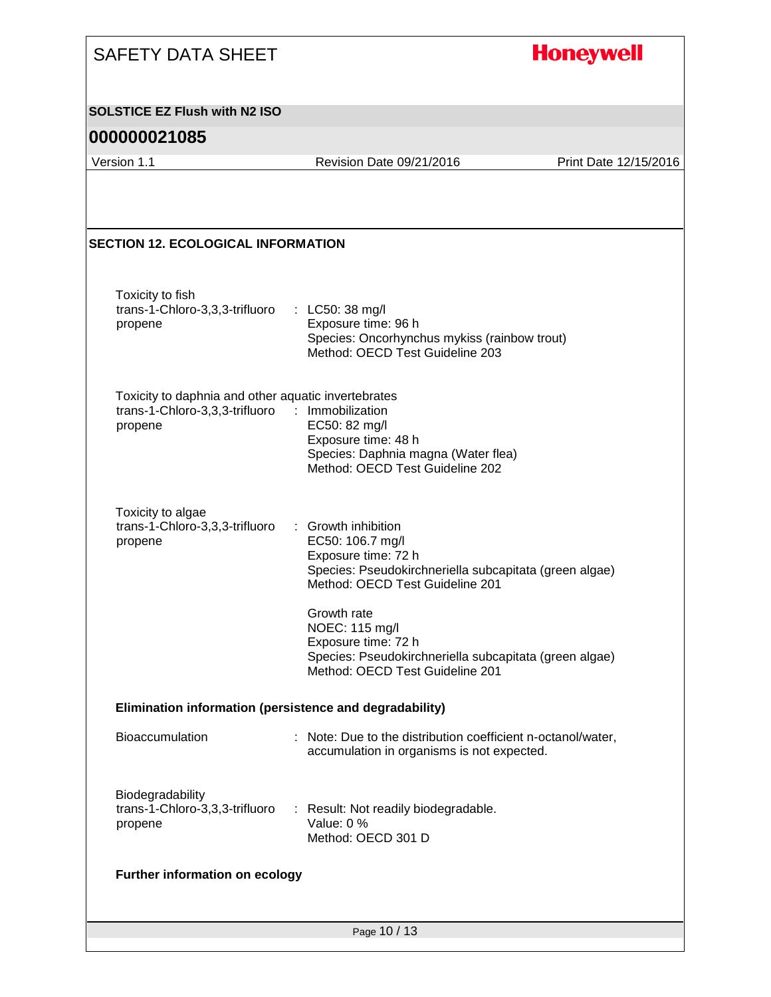| <b>SAFETY DATA SHEET</b>                                                                         |                                                                                                                                                                 | <b>Honeywell</b>      |
|--------------------------------------------------------------------------------------------------|-----------------------------------------------------------------------------------------------------------------------------------------------------------------|-----------------------|
| <b>SOLSTICE EZ Flush with N2 ISO</b>                                                             |                                                                                                                                                                 |                       |
| 000000021085                                                                                     |                                                                                                                                                                 |                       |
| Version 1.1                                                                                      | Revision Date 09/21/2016                                                                                                                                        | Print Date 12/15/2016 |
| <b>SECTION 12. ECOLOGICAL INFORMATION</b>                                                        |                                                                                                                                                                 |                       |
| Toxicity to fish<br>trans-1-Chloro-3,3,3-trifluoro<br>propene                                    | : LC50: 38 mg/l<br>Exposure time: 96 h<br>Species: Oncorhynchus mykiss (rainbow trout)<br>Method: OECD Test Guideline 203                                       |                       |
| Toxicity to daphnia and other aquatic invertebrates<br>trans-1-Chloro-3,3,3-trifluoro<br>propene | : Immobilization<br>EC50: 82 mg/l<br>Exposure time: 48 h<br>Species: Daphnia magna (Water flea)<br>Method: OECD Test Guideline 202                              |                       |
| Toxicity to algae<br>trans-1-Chloro-3,3,3-trifluoro<br>propene                                   | ÷.<br>Growth inhibition<br>EC50: 106.7 mg/l<br>Exposure time: 72 h<br>Species: Pseudokirchneriella subcapitata (green algae)<br>Method: OECD Test Guideline 201 |                       |
|                                                                                                  | Growth rate<br>NOEC: 115 mg/l<br>Exposure time: 72 h<br>Species: Pseudokirchneriella subcapitata (green algae)<br>Method: OECD Test Guideline 201               |                       |
| Elimination information (persistence and degradability)                                          |                                                                                                                                                                 |                       |
| Bioaccumulation                                                                                  | : Note: Due to the distribution coefficient n-octanol/water,<br>accumulation in organisms is not expected.                                                      |                       |
| Biodegradability<br>trans-1-Chloro-3,3,3-trifluoro<br>propene                                    | : Result: Not readily biodegradable.<br>Value: 0 %<br>Method: OECD 301 D                                                                                        |                       |
| <b>Further information on ecology</b>                                                            |                                                                                                                                                                 |                       |
|                                                                                                  |                                                                                                                                                                 |                       |
|                                                                                                  | Page 10 / 13                                                                                                                                                    |                       |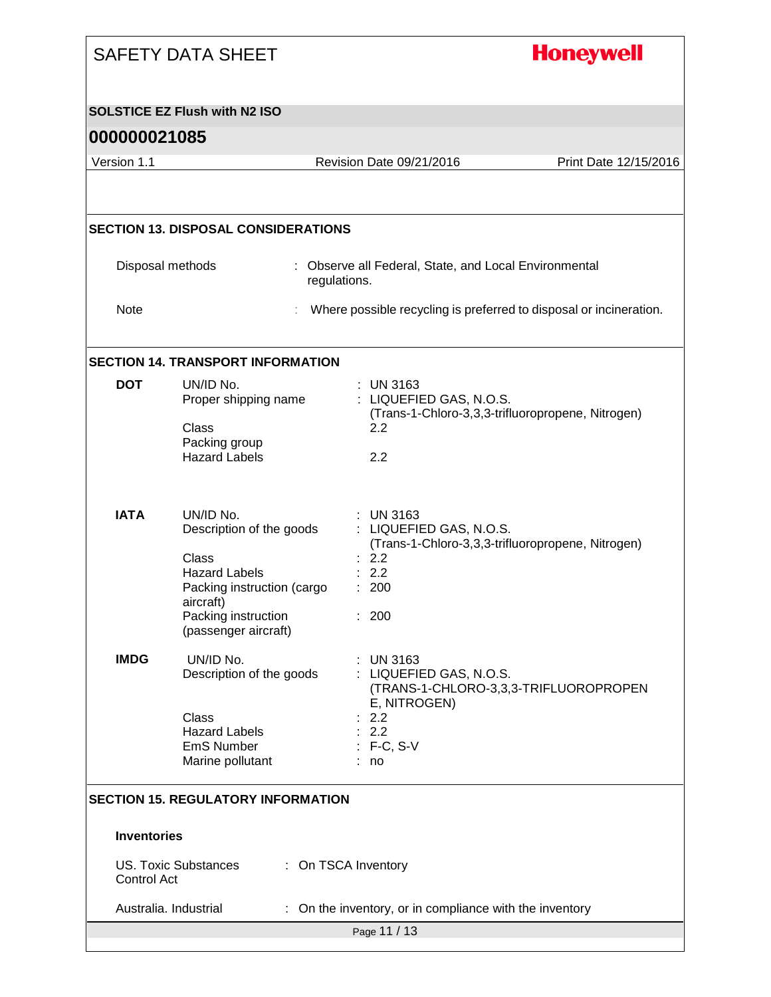|                    | <b>SAFETY DATA SHEET</b>                                                                             | <b>Honeywell</b>                                                                                                          |                                       |  |
|--------------------|------------------------------------------------------------------------------------------------------|---------------------------------------------------------------------------------------------------------------------------|---------------------------------------|--|
|                    | <b>SOLSTICE EZ Flush with N2 ISO</b>                                                                 |                                                                                                                           |                                       |  |
| 000000021085       |                                                                                                      |                                                                                                                           |                                       |  |
| Version 1.1        |                                                                                                      | Revision Date 09/21/2016                                                                                                  | Print Date 12/15/2016                 |  |
|                    | <b>SECTION 13. DISPOSAL CONSIDERATIONS</b>                                                           |                                                                                                                           |                                       |  |
|                    | Disposal methods<br>regulations.                                                                     | : Observe all Federal, State, and Local Environmental                                                                     |                                       |  |
| Note               |                                                                                                      | Where possible recycling is preferred to disposal or incineration.                                                        |                                       |  |
|                    | <b>SECTION 14. TRANSPORT INFORMATION</b>                                                             |                                                                                                                           |                                       |  |
| <b>DOT</b>         | UN/ID No.<br>Proper shipping name<br>Class<br>Packing group<br><b>Hazard Labels</b>                  | $:$ UN 3163<br>: LIQUEFIED GAS, N.O.S.<br>(Trans-1-Chloro-3,3,3-trifluoropropene, Nitrogen)<br>2.2<br>2.2                 |                                       |  |
| <b>IATA</b>        | UN/ID No.<br>Description of the goods<br>Class<br><b>Hazard Labels</b><br>Packing instruction (cargo | <b>UN 3163</b><br>: LIQUEFIED GAS, N.O.S.<br>(Trans-1-Chloro-3,3,3-trifluoropropene, Nitrogen)<br>: 2.2<br>: 2.2<br>: 200 |                                       |  |
|                    | aircraft)<br>Packing instruction<br>(passenger aircraft)                                             | : 200                                                                                                                     |                                       |  |
| <b>IMDG</b>        | UN/ID No.<br>Description of the goods<br>Class                                                       | $:$ UN 3163<br>: LIQUEFIED GAS, N.O.S.<br>E, NITROGEN)<br>2.2                                                             | (TRANS-1-CHLORO-3,3,3-TRIFLUOROPROPEN |  |
|                    | <b>Hazard Labels</b><br><b>EmS Number</b><br>Marine pollutant                                        | : 2.2<br>$: F-C, S-V$<br>: no                                                                                             |                                       |  |
|                    | <b>SECTION 15. REGULATORY INFORMATION</b>                                                            |                                                                                                                           |                                       |  |
| <b>Inventories</b> |                                                                                                      |                                                                                                                           |                                       |  |
| Control Act        | <b>US. Toxic Substances</b>                                                                          | : On TSCA Inventory                                                                                                       |                                       |  |
|                    | Australia. Industrial                                                                                | On the inventory, or in compliance with the inventory                                                                     |                                       |  |
|                    |                                                                                                      | Page 11 / 13                                                                                                              |                                       |  |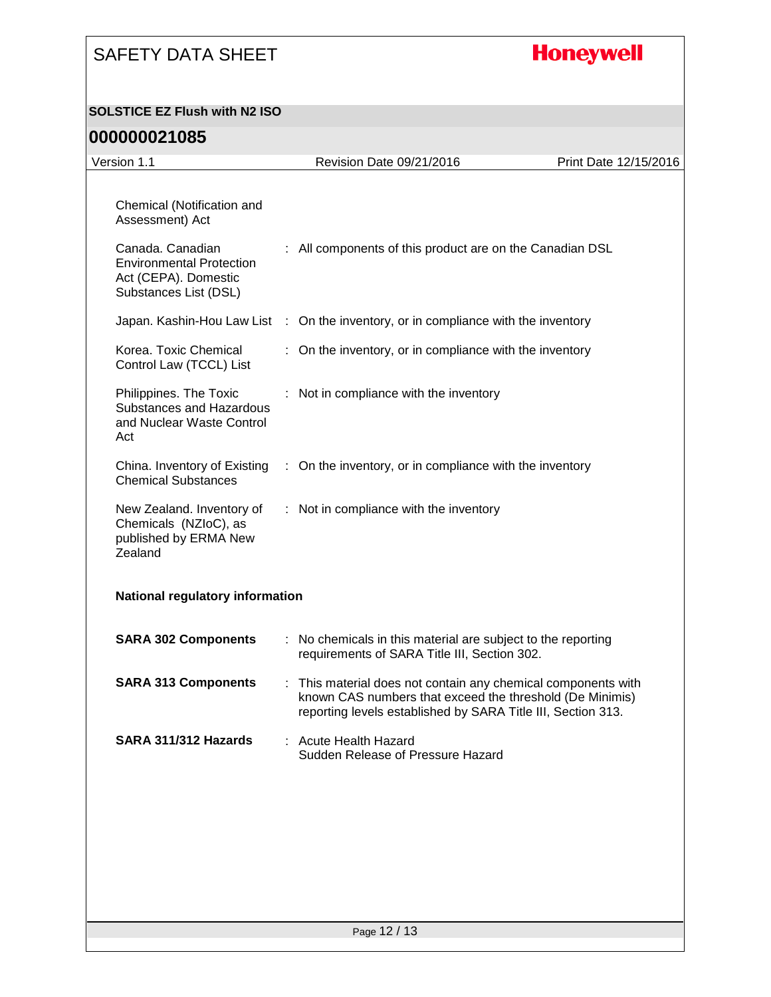# **Honeywell**

#### **SOLSTICE EZ Flush with N2 ISO**

| Version 1.1                                                                                          |   | Revision Date 09/21/2016                                                                                                                                                                | Print Date 12/15/2016 |
|------------------------------------------------------------------------------------------------------|---|-----------------------------------------------------------------------------------------------------------------------------------------------------------------------------------------|-----------------------|
| Chemical (Notification and                                                                           |   |                                                                                                                                                                                         |                       |
| Assessment) Act                                                                                      |   |                                                                                                                                                                                         |                       |
| Canada. Canadian<br><b>Environmental Protection</b><br>Act (CEPA). Domestic<br>Substances List (DSL) |   | : All components of this product are on the Canadian DSL                                                                                                                                |                       |
|                                                                                                      |   | Japan. Kashin-Hou Law List : On the inventory, or in compliance with the inventory                                                                                                      |                       |
| Korea. Toxic Chemical<br>Control Law (TCCL) List                                                     |   | : On the inventory, or in compliance with the inventory                                                                                                                                 |                       |
| Philippines. The Toxic<br>Substances and Hazardous<br>and Nuclear Waste Control<br>Act               |   | : Not in compliance with the inventory                                                                                                                                                  |                       |
| China. Inventory of Existing<br><b>Chemical Substances</b>                                           |   | : On the inventory, or in compliance with the inventory                                                                                                                                 |                       |
| New Zealand. Inventory of<br>Chemicals (NZIoC), as<br>published by ERMA New<br>Zealand               |   | : Not in compliance with the inventory                                                                                                                                                  |                       |
| National regulatory information                                                                      |   |                                                                                                                                                                                         |                       |
| <b>SARA 302 Components</b>                                                                           |   | : No chemicals in this material are subject to the reporting<br>requirements of SARA Title III, Section 302.                                                                            |                       |
| <b>SARA 313 Components</b>                                                                           | ÷ | This material does not contain any chemical components with<br>known CAS numbers that exceed the threshold (De Minimis)<br>reporting levels established by SARA Title III, Section 313. |                       |
| SARA 311/312 Hazards                                                                                 |   | <b>Acute Health Hazard</b><br>Sudden Release of Pressure Hazard                                                                                                                         |                       |
|                                                                                                      |   |                                                                                                                                                                                         |                       |
|                                                                                                      |   |                                                                                                                                                                                         |                       |
|                                                                                                      |   |                                                                                                                                                                                         |                       |
|                                                                                                      |   |                                                                                                                                                                                         |                       |
|                                                                                                      |   | Page 12 / 13                                                                                                                                                                            |                       |